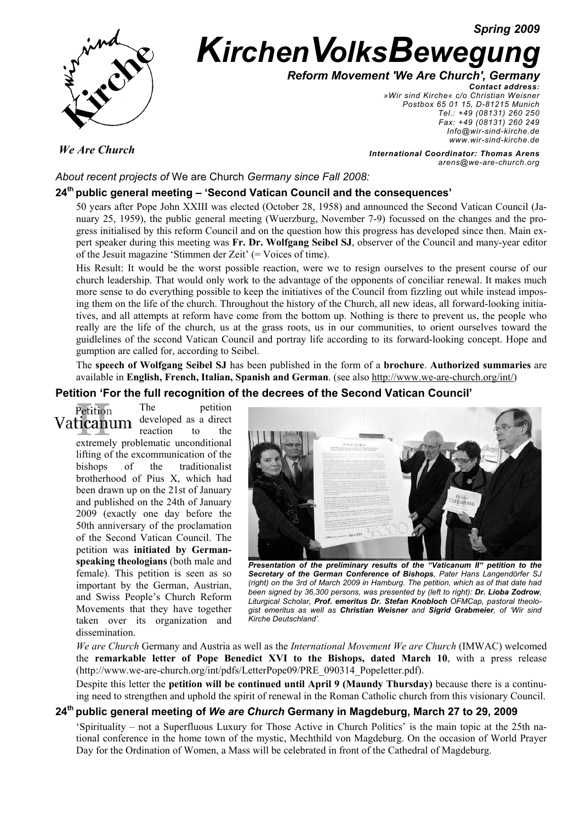*Spring 2009*



# **KirchenVolksBewegurg**

*Reform Movement 'We Are Church', Germany*

*Contact address: »Wir sind Kirche« c/o Christian Weisner Postbox 65 01 15, D-81215 Munich Tel.: +49 (08131) 260 250 Fax: +49 (08131) 260 249 Info@wir-sind-kirche.de www.wir-sind-kirche.de*

*We Are Church*

*International Coordinator: Thomas Arens arens@we-are-church.org*

*About recent projects of* We are Church *Germany since Fall 2008:* 

## **24th public general meeting – 'Second Vatican Council and the consequences'**

50 years after Pope John XXIII was elected (October 28, 1958) and announced the Second Vatican Council (January 25, 1959), the public general meeting (Wuerzburg, November 7-9) focussed on the changes and the progress initialised by this reform Council and on the question how this progress has developed since then. Main expert speaker during this meeting was **Fr. Dr. Wolfgang Seibel SJ**, observer of the Council and many-year editor of the Jesuit magazine 'Stimmen der Zeit' (= Voices of time).

His Result: It would be the worst possible reaction, were we to resign ourselves to the present course of our church leadership. That would only work to the advantage of the opponents of conciliar renewal. It makes much more sense to do everything possible to keep the initiatives of the Council from fizzling out while instead imposing them on the life of the church. Throughout the history of the Church, all new ideas, all forward-looking initiatives, and all attempts at reform have come from the bottom up. Nothing is there to prevent us, the people who really are the life of the church, us at the grass roots, us in our communities, to orient ourselves toward the guidlelines of the sccond Vatican Council and portray life according to its forward-looking concept. Hope and gumption are called for, according to Seibel.

The **speech of Wolfgang Seibel SJ** has been published in the form of a **brochure**. **Authorized summaries** are available in **English, French, Italian, Spanish and German**. (see also http://www.we-are-church.org/int/)

#### **Petition 'For the full recognition of the decrees of the Second Vatican Council'**

The petition Petition developed as a direct Vaticanum reaction to the extremely problematic unconditional lifting of the excommunication of the bishops of the traditionalist brotherhood of Pius X, which had been drawn up on the 21st of January and published on the 24th of January 2009 (exactly one day before the 50th anniversary of the proclamation of the Second Vatican Council. The petition was **initiated by Germanspeaking theologians** (both male and female). This petition is seen as so important by the German, Austrian, and Swiss People's Church Reform Movements that they have together taken over its organization and dissemination.



*Presentation of the preliminary results of the "Vaticanum II" petition to the Secretary of the German Conference of Bishops, Pater Hans Langendörfer SJ (right) on the 3rd of March 2009 in Hamburg. The petition, which as of that date had been signed by 36,300 persons, was presented by (left to right): Dr. Lioba Zodrow, Liturgical Scholar, Prof. emeritus Dr. Stefan Knobloch OFMCap, pastoral theologist emeritus as well as Christian Weisner and Sigrid Grabmeier, of 'Wir sind Kirche Deutschland'.* 

*We are Church* Germany and Austria as well as the *International Movement We are Church* (IMWAC) welcomed the **remarkable letter of Pope Benedict XVI to the Bishops, dated March 10**, with a press release (http://www.we-are-church.org/int/pdfs/LetterPope09/PRE\_090314\_Popeletter.pdf).

Despite this letter the **petition will be continued until April 9 (Maundy Thursday)** because there is a continuing need to strengthen and uphold the spirit of renewal in the Roman Catholic church from this visionary Council.

#### **24th public general meeting of** *We are Church* **Germany in Magdeburg, March 27 to 29, 2009**

'Spirituality – not a Superfluous Luxury for Those Active in Church Politics' is the main topic at the 25th national conference in the home town of the mystic, Mechthild von Magdeburg. On the occasion of World Prayer Day for the Ordination of Women, a Mass will be celebrated in front of the Cathedral of Magdeburg.